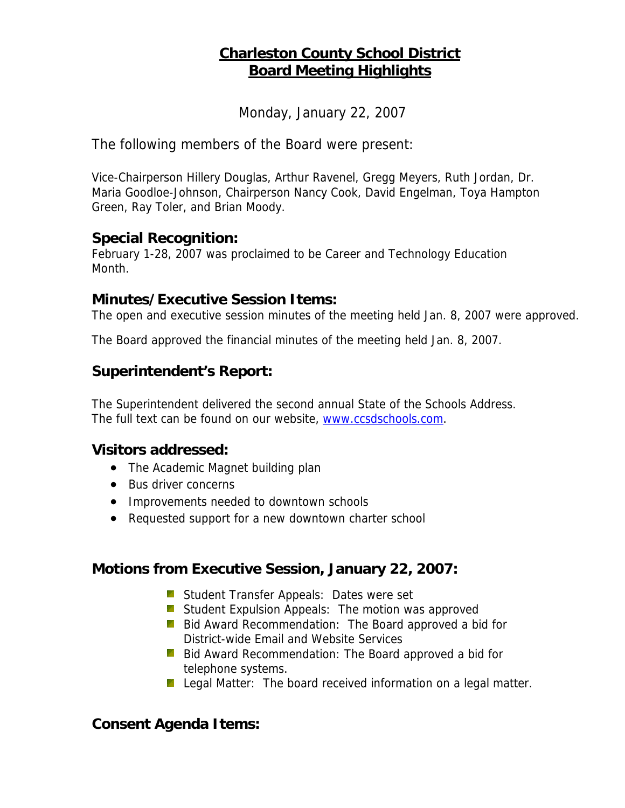# **Charleston County School District Board Meeting Highlights**

Monday, January 22, 2007

The following members of the Board were present:

Vice-Chairperson Hillery Douglas, Arthur Ravenel, Gregg Meyers, Ruth Jordan, Dr. Maria Goodloe-Johnson, Chairperson Nancy Cook, David Engelman, Toya Hampton Green, Ray Toler, and Brian Moody.

#### **Special Recognition:**

February 1-28, 2007 was proclaimed to be Career and Technology Education Month.

#### **Minutes/Executive Session Items:**

The open and executive session minutes of the meeting held Jan. 8, 2007 were approved.

The Board approved the financial minutes of the meeting held Jan. 8, 2007.

## **Superintendent's Report:**

The Superintendent delivered the second annual State of the Schools Address. The full text can be found on our website, [www.ccsdschools.com](http://www.ccsdschools.com/).

#### **Visitors addressed:**

- The Academic Magnet building plan
- Bus driver concerns
- Improvements needed to downtown schools
- Requested support for a new downtown charter school

## **Motions from Executive Session, January 22, 2007:**

- **Student Transfer Appeals: Dates were set**
- **Student Expulsion Appeals: The motion was approved**
- **Bid Award Recommendation: The Board approved a bid for** District-wide Email and Website Services
- **Bid Award Recommendation: The Board approved a bid for** telephone systems.
- **Legal Matter:** The board received information on a legal matter.

## **Consent Agenda Items:**